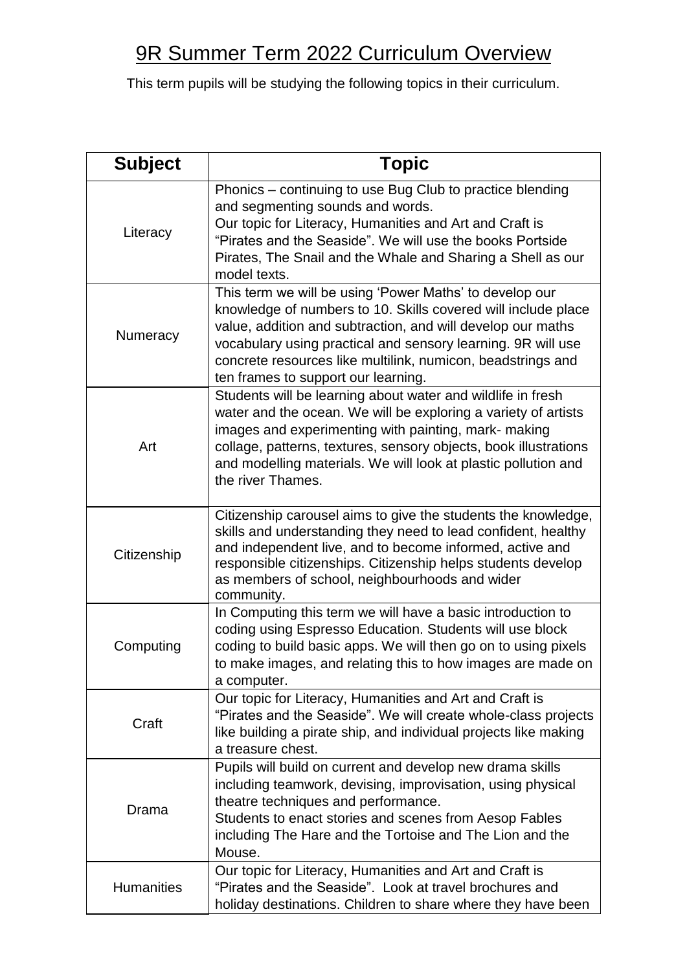## 9R Summer Term 2022 Curriculum Overview

This term pupils will be studying the following topics in their curriculum.

| <b>Subject</b>    | <b>Topic</b>                                                                                                                                                                                                                                                                                                                                                  |
|-------------------|---------------------------------------------------------------------------------------------------------------------------------------------------------------------------------------------------------------------------------------------------------------------------------------------------------------------------------------------------------------|
| Literacy          | Phonics – continuing to use Bug Club to practice blending<br>and segmenting sounds and words.<br>Our topic for Literacy, Humanities and Art and Craft is<br>"Pirates and the Seaside". We will use the books Portside<br>Pirates, The Snail and the Whale and Sharing a Shell as our<br>model texts.                                                          |
| Numeracy          | This term we will be using 'Power Maths' to develop our<br>knowledge of numbers to 10. Skills covered will include place<br>value, addition and subtraction, and will develop our maths<br>vocabulary using practical and sensory learning. 9R will use<br>concrete resources like multilink, numicon, beadstrings and<br>ten frames to support our learning. |
| Art               | Students will be learning about water and wildlife in fresh<br>water and the ocean. We will be exploring a variety of artists<br>images and experimenting with painting, mark- making<br>collage, patterns, textures, sensory objects, book illustrations<br>and modelling materials. We will look at plastic pollution and<br>the river Thames.              |
| Citizenship       | Citizenship carousel aims to give the students the knowledge,<br>skills and understanding they need to lead confident, healthy<br>and independent live, and to become informed, active and<br>responsible citizenships. Citizenship helps students develop<br>as members of school, neighbourhoods and wider<br>community.                                    |
| Computing         | In Computing this term we will have a basic introduction to<br>coding using Espresso Education. Students will use block<br>coding to build basic apps. We will then go on to using pixels<br>to make images, and relating this to how images are made on<br>a computer.                                                                                       |
| Craft             | Our topic for Literacy, Humanities and Art and Craft is<br>"Pirates and the Seaside". We will create whole-class projects<br>like building a pirate ship, and individual projects like making<br>a treasure chest.                                                                                                                                            |
| Drama             | Pupils will build on current and develop new drama skills<br>including teamwork, devising, improvisation, using physical<br>theatre techniques and performance.<br>Students to enact stories and scenes from Aesop Fables<br>including The Hare and the Tortoise and The Lion and the<br>Mouse.                                                               |
| <b>Humanities</b> | Our topic for Literacy, Humanities and Art and Craft is<br>"Pirates and the Seaside". Look at travel brochures and<br>holiday destinations. Children to share where they have been                                                                                                                                                                            |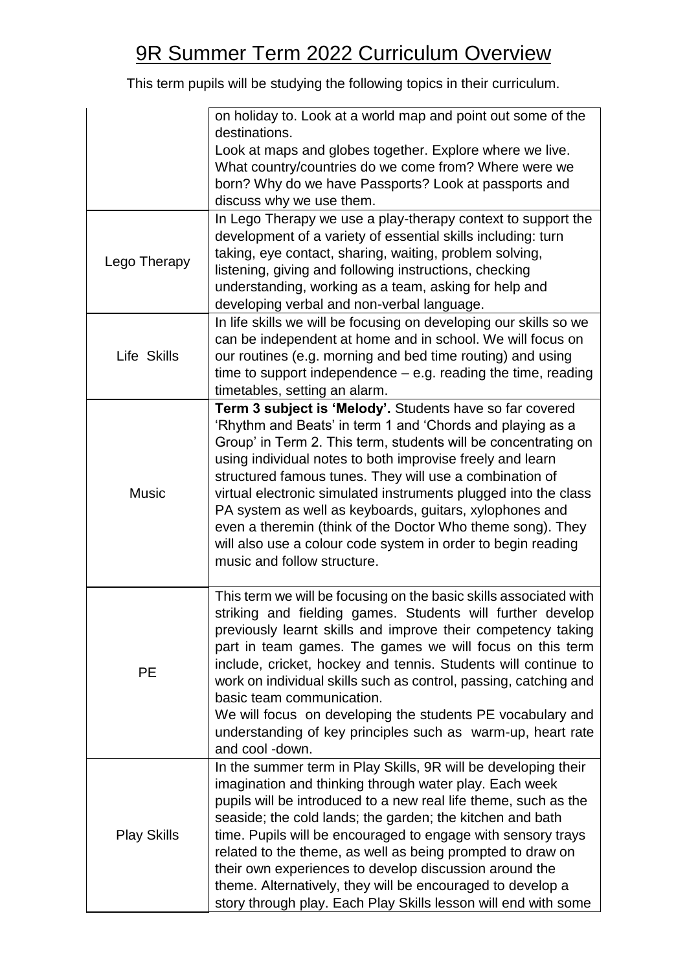## 9R Summer Term 2022 Curriculum Overview

This term pupils will be studying the following topics in their curriculum.

|                    | on holiday to. Look at a world map and point out some of the      |
|--------------------|-------------------------------------------------------------------|
|                    | destinations.                                                     |
|                    | Look at maps and globes together. Explore where we live.          |
|                    | What country/countries do we come from? Where were we             |
|                    | born? Why do we have Passports? Look at passports and             |
|                    | discuss why we use them.                                          |
|                    |                                                                   |
| Lego Therapy       | In Lego Therapy we use a play-therapy context to support the      |
|                    | development of a variety of essential skills including: turn      |
|                    | taking, eye contact, sharing, waiting, problem solving,           |
|                    | listening, giving and following instructions, checking            |
|                    | understanding, working as a team, asking for help and             |
|                    | developing verbal and non-verbal language.                        |
| Life Skills        | In life skills we will be focusing on developing our skills so we |
|                    | can be independent at home and in school. We will focus on        |
|                    | our routines (e.g. morning and bed time routing) and using        |
|                    | time to support independence $-$ e.g. reading the time, reading   |
|                    | timetables, setting an alarm.                                     |
|                    | Term 3 subject is 'Melody'. Students have so far covered          |
|                    |                                                                   |
|                    | 'Rhythm and Beats' in term 1 and 'Chords and playing as a         |
|                    | Group' in Term 2. This term, students will be concentrating on    |
|                    | using individual notes to both improvise freely and learn         |
|                    | structured famous tunes. They will use a combination of           |
| <b>Music</b>       | virtual electronic simulated instruments plugged into the class   |
|                    | PA system as well as keyboards, guitars, xylophones and           |
|                    | even a theremin (think of the Doctor Who theme song). They        |
|                    | will also use a colour code system in order to begin reading      |
|                    | music and follow structure.                                       |
|                    |                                                                   |
|                    | This term we will be focusing on the basic skills associated with |
|                    | striking and fielding games. Students will further develop        |
|                    | previously learnt skills and improve their competency taking      |
|                    | part in team games. The games we will focus on this term          |
|                    |                                                                   |
| <b>PE</b>          | include, cricket, hockey and tennis. Students will continue to    |
|                    | work on individual skills such as control, passing, catching and  |
|                    | basic team communication.                                         |
|                    | We will focus on developing the students PE vocabulary and        |
|                    | understanding of key principles such as warm-up, heart rate       |
|                    | and cool -down.                                                   |
|                    | In the summer term in Play Skills, 9R will be developing their    |
|                    | imagination and thinking through water play. Each week            |
|                    | pupils will be introduced to a new real life theme, such as the   |
| <b>Play Skills</b> | seaside; the cold lands; the garden; the kitchen and bath         |
|                    | time. Pupils will be encouraged to engage with sensory trays      |
|                    | related to the theme, as well as being prompted to draw on        |
|                    | their own experiences to develop discussion around the            |
|                    |                                                                   |
|                    | theme. Alternatively, they will be encouraged to develop a        |
|                    | story through play. Each Play Skills lesson will end with some    |